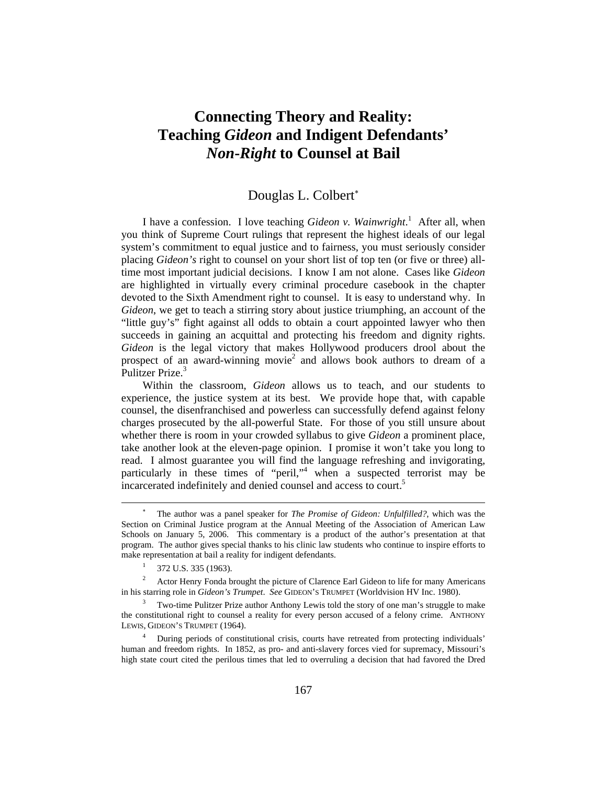# **Connecting Theory and Reality: Teaching** *Gideon* **and Indigent Defendants'**  *Non***-***Right* **to Counsel at Bail**

## Douglas L. Colbert<sup>\*</sup>

I have a confession. I love teaching *Gideon v. Wainwright*.<sup>1</sup> After all, when you think of Supreme Court rulings that represent the highest ideals of our legal system's commitment to equal justice and to fairness, you must seriously consider placing *Gideon's* right to counsel on your short list of top ten (or five or three) alltime most important judicial decisions. I know I am not alone. Cases like *Gideon*  are highlighted in virtually every criminal procedure casebook in the chapter devoted to the Sixth Amendment right to counsel. It is easy to understand why. In *Gideon*, we get to teach a stirring story about justice triumphing, an account of the "little guy's" fight against all odds to obtain a court appointed lawyer who then succeeds in gaining an acquittal and protecting his freedom and dignity rights. *Gideon* is the legal victory that makes Hollywood producers drool about the prospect of an award-winning movie<sup>2</sup> and allows book authors to dream of a Pulitzer Prize.<sup>3</sup>

Within the classroom, *Gideon* allows us to teach, and our students to experience, the justice system at its best. We provide hope that, with capable counsel, the disenfranchised and powerless can successfully defend against felony charges prosecuted by the all-powerful State. For those of you still unsure about whether there is room in your crowded syllabus to give *Gideon* a prominent place, take another look at the eleven-page opinion. I promise it won't take you long to read. I almost guarantee you will find the language refreshing and invigorating, particularly in these times of "peril,"4 when a suspected terrorist may be incarcerated indefinitely and denied counsel and access to court.<sup>5</sup>

 $\overline{a}$ 

<sup>∗</sup> The author was a panel speaker for *The Promise of Gideon: Unfulfilled?*, which was the Section on Criminal Justice program at the Annual Meeting of the Association of American Law Schools on January 5, 2006. This commentary is a product of the author's presentation at that program. The author gives special thanks to his clinic law students who continue to inspire efforts to make representation at bail a reality for indigent defendants.

<sup>1</sup> 372 U.S. 335 (1963).

<sup>2</sup> Actor Henry Fonda brought the picture of Clarence Earl Gideon to life for many Americans in his starring role in *Gideon's Trumpet*. *See* GIDEON'S TRUMPET (Worldvision HV Inc. 1980).

<sup>3</sup> Two-time Pulitzer Prize author Anthony Lewis told the story of one man's struggle to make the constitutional right to counsel a reality for every person accused of a felony crime. ANTHONY LEWIS, GIDEON'S TRUMPET (1964).

<sup>4</sup> During periods of constitutional crisis, courts have retreated from protecting individuals' human and freedom rights. In 1852, as pro- and anti-slavery forces vied for supremacy, Missouri's high state court cited the perilous times that led to overruling a decision that had favored the Dred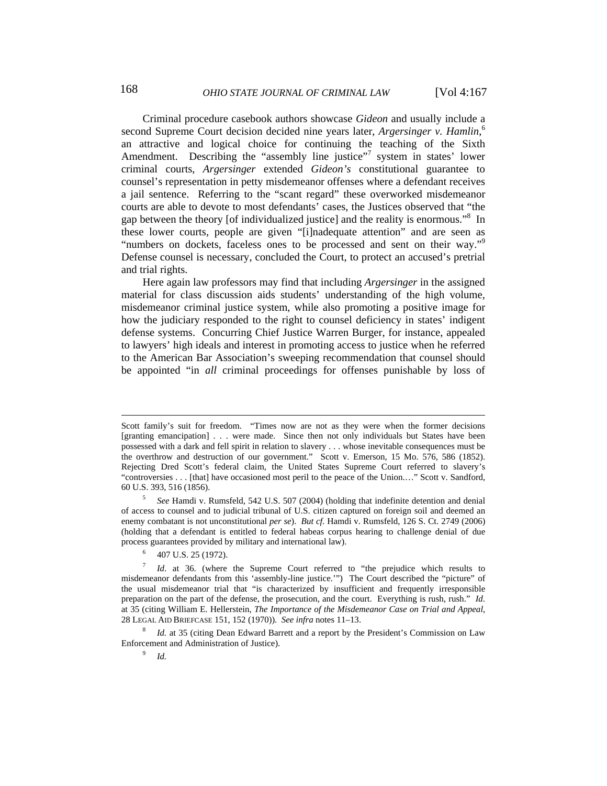Criminal procedure casebook authors showcase *Gideon* and usually include a second Supreme Court decision decided nine years later, *Argersinger v. Hamlin*, 6 an attractive and logical choice for continuing the teaching of the Sixth Amendment. Describing the "assembly line justice"<sup>7</sup> system in states' lower criminal courts, *Argersinger* extended *Gideon's* constitutional guarantee to counsel's representation in petty misdemeanor offenses where a defendant receives a jail sentence. Referring to the "scant regard" these overworked misdemeanor courts are able to devote to most defendants' cases, the Justices observed that "the gap between the theory [of individualized justice] and the reality is enormous."<sup>8</sup> In these lower courts, people are given "[i]nadequate attention" and are seen as "numbers on dockets, faceless ones to be processed and sent on their way."<sup>9</sup> Defense counsel is necessary, concluded the Court, to protect an accused's pretrial and trial rights.

Here again law professors may find that including *Argersinger* in the assigned material for class discussion aids students' understanding of the high volume, misdemeanor criminal justice system, while also promoting a positive image for how the judiciary responded to the right to counsel deficiency in states' indigent defense systems. Concurring Chief Justice Warren Burger, for instance, appealed to lawyers' high ideals and interest in promoting access to justice when he referred to the American Bar Association's sweeping recommendation that counsel should be appointed "in *all* criminal proceedings for offenses punishable by loss of

6 407 U.S. 25 (1972).

9  *Id.*

 $\overline{a}$ 

Scott family's suit for freedom. "Times now are not as they were when the former decisions [granting emancipation] . . . were made. Since then not only individuals but States have been possessed with a dark and fell spirit in relation to slavery . . . whose inevitable consequences must be the overthrow and destruction of our government." Scott v. Emerson, 15 Mo. 576, 586 (1852). Rejecting Dred Scott's federal claim, the United States Supreme Court referred to slavery's "controversies . . . [that] have occasioned most peril to the peace of the Union.…" Scott v. Sandford, 60 U.S. 393, 516 (1856).

<sup>5</sup>  *See* Hamdi v. Rumsfeld, 542 U.S. 507 (2004) (holding that indefinite detention and denial of access to counsel and to judicial tribunal of U.S. citizen captured on foreign soil and deemed an enemy combatant is not unconstitutional *per se*). *But cf.* Hamdi v. Rumsfeld, 126 S. Ct. 2749 (2006) (holding that a defendant is entitled to federal habeas corpus hearing to challenge denial of due process guarantees provided by military and international law).

<sup>7</sup>  *Id*. at 36. (where the Supreme Court referred to "the prejudice which results to misdemeanor defendants from this 'assembly-line justice.'") The Court described the "picture" of the usual misdemeanor trial that "is characterized by insufficient and frequently irresponsible preparation on the part of the defense, the prosecution, and the court. Everything is rush, rush." *Id*. at 35 (citing William E. Hellerstein, *The Importance of the Misdemeanor Case on Trial and Appeal*, 28 LEGAL AID BRIEFCASE 151, 152 (1970)). *See infra* notes 11–13.

<sup>&</sup>lt;sup>8</sup> *Id.* at 35 (citing Dean Edward Barrett and a report by the President's Commission on Law Enforcement and Administration of Justice).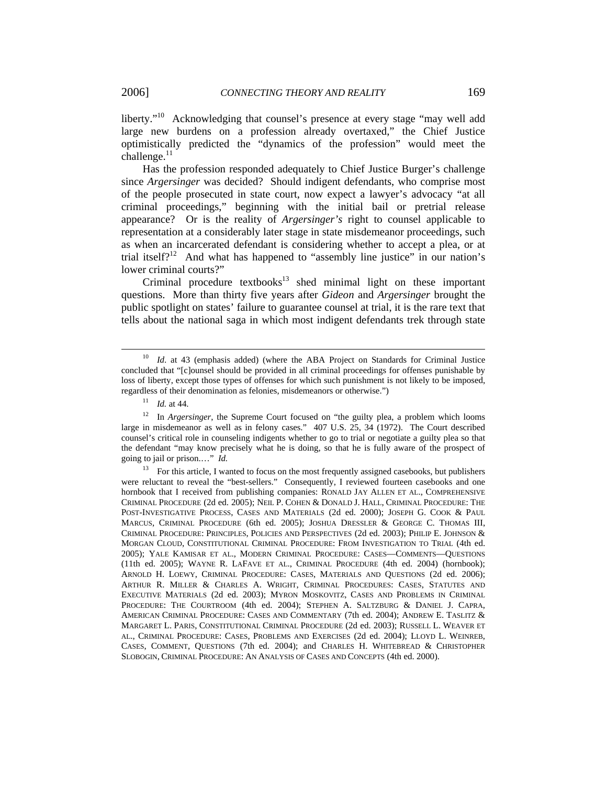liberty."<sup>10</sup> Acknowledging that counsel's presence at every stage "may well add large new burdens on a profession already overtaxed," the Chief Justice optimistically predicted the "dynamics of the profession" would meet the challenge. $^{11}$ 

Has the profession responded adequately to Chief Justice Burger's challenge since *Argersinger* was decided? Should indigent defendants, who comprise most of the people prosecuted in state court, now expect a lawyer's advocacy "at all criminal proceedings," beginning with the initial bail or pretrial release appearance? Or is the reality of *Argersinger's* right to counsel applicable to representation at a considerably later stage in state misdemeanor proceedings, such as when an incarcerated defendant is considering whether to accept a plea, or at trial itself? $12$  And what has happened to "assembly line justice" in our nation's lower criminal courts?"

Criminal procedure textbooks $13$  shed minimal light on these important questions. More than thirty five years after *Gideon* and *Argersinger* brought the public spotlight on states' failure to guarantee counsel at trial, it is the rare text that tells about the national saga in which most indigent defendants trek through state

<sup>11</sup> *Id.* at 44.

<sup>12</sup> In *Argersinger*, the Supreme Court focused on "the guilty plea, a problem which looms large in misdemeanor as well as in felony cases." 407 U.S. 25, 34 (1972). The Court described counsel's critical role in counseling indigents whether to go to trial or negotiate a guilty plea so that the defendant "may know precisely what he is doing, so that he is fully aware of the prospect of going to jail or prison.…" *Id.*

<sup>&</sup>lt;sup>10</sup> *Id.* at 43 (emphasis added) (where the ABA Project on Standards for Criminal Justice concluded that "[c]ounsel should be provided in all criminal proceedings for offenses punishable by loss of liberty, except those types of offenses for which such punishment is not likely to be imposed, regardless of their denomination as felonies, misdemeanors or otherwise.")

<sup>&</sup>lt;sup>13</sup> For this article, I wanted to focus on the most frequently assigned casebooks, but publishers were reluctant to reveal the "best-sellers." Consequently, I reviewed fourteen casebooks and one hornbook that I received from publishing companies: RONALD JAY ALLEN ET AL., COMPREHENSIVE CRIMINAL PROCEDURE (2d ed. 2005); NEIL P. COHEN & DONALD J. HALL, CRIMINAL PROCEDURE: THE POST-INVESTIGATIVE PROCESS, CASES AND MATERIALS (2d ed. 2000); JOSEPH G. COOK & PAUL MARCUS, CRIMINAL PROCEDURE (6th ed. 2005); JOSHUA DRESSLER & GEORGE C. THOMAS III, CRIMINAL PROCEDURE: PRINCIPLES, POLICIES AND PERSPECTIVES (2d ed. 2003); PHILIP E. JOHNSON & MORGAN CLOUD, CONSTITUTIONAL CRIMINAL PROCEDURE: FROM INVESTIGATION TO TRIAL (4th ed. 2005); YALE KAMISAR ET AL., MODERN CRIMINAL PROCEDURE: CASES—COMMENTS—QUESTIONS (11th ed. 2005); WAYNE R. LAFAVE ET AL., CRIMINAL PROCEDURE (4th ed. 2004) (hornbook); ARNOLD H. LOEWY, CRIMINAL PROCEDURE: CASES, MATERIALS AND QUESTIONS (2d ed. 2006); ARTHUR R. MILLER & CHARLES A. WRIGHT, CRIMINAL PROCEDURES: CASES, STATUTES AND EXECUTIVE MATERIALS (2d ed. 2003); MYRON MOSKOVITZ, CASES AND PROBLEMS IN CRIMINAL PROCEDURE: THE COURTROOM (4th ed. 2004); STEPHEN A. SALTZBURG & DANIEL J. CAPRA, AMERICAN CRIMINAL PROCEDURE: CASES AND COMMENTARY (7th ed. 2004); ANDREW E. TASLITZ & MARGARET L. PARIS, CONSTITUTIONAL CRIMINAL PROCEDURE (2d ed. 2003); RUSSELL L. WEAVER ET AL., CRIMINAL PROCEDURE: CASES, PROBLEMS AND EXERCISES (2d ed. 2004); LLOYD L. WEINREB, CASES, COMMENT, QUESTIONS (7th ed. 2004); and CHARLES H. WHITEBREAD & CHRISTOPHER SLOBOGIN, CRIMINAL PROCEDURE: AN ANALYSIS OF CASES AND CONCEPTS (4th ed. 2000).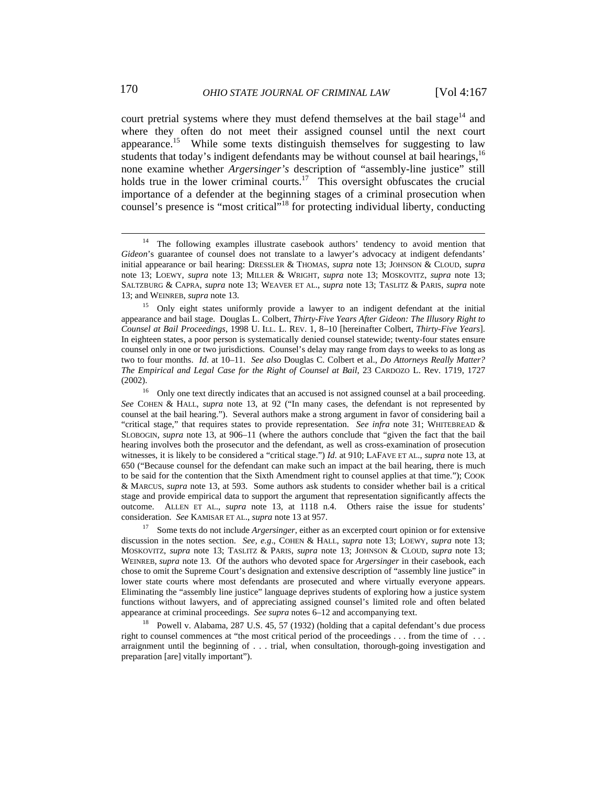court pretrial systems where they must defend themselves at the bail stage<sup>14</sup> and where they often do not meet their assigned counsel until the next court appearance.<sup>15</sup> While some texts distinguish themselves for suggesting to law students that today's indigent defendants may be without counsel at bail hearings,  $16$ none examine whether *Argersinger's* description of "assembly-line justice" still holds true in the lower criminal courts.<sup>17</sup> This oversight obfuscates the crucial importance of a defender at the beginning stages of a criminal prosecution when counsel's presence is "most critical"18 for protecting individual liberty, conducting

17 Some texts do not include *Argersinger*, either as an excerpted court opinion or for extensive discussion in the notes section. *See, e.g*., COHEN & HALL, *supra* note 13; LOEWY, *supra* note 13; MOSKOVITZ, *supra* note 13; TASLITZ & PARIS, *supra* note 13; JOHNSON & CLOUD, *supra* note 13; WEINREB, *supra* note 13. Of the authors who devoted space for *Argersinger* in their casebook, each chose to omit the Supreme Court's designation and extensive description of "assembly line justice" in lower state courts where most defendants are prosecuted and where virtually everyone appears. Eliminating the "assembly line justice" language deprives students of exploring how a justice system functions without lawyers, and of appreciating assigned counsel's limited role and often belated appearance at criminal proceedings. *See supra* notes 6–12 and accompanying text.

Powell v. Alabama, 287 U.S. 45, 57 (1932) (holding that a capital defendant's due process right to counsel commences at "the most critical period of the proceedings . . . from the time of . . . arraignment until the beginning of . . . trial, when consultation, thorough-going investigation and preparation [are] vitally important").

<sup>&</sup>lt;sup>14</sup> The following examples illustrate casebook authors' tendency to avoid mention that *Gideon*'s guarantee of counsel does not translate to a lawyer's advocacy at indigent defendants' initial appearance or bail hearing: DRESSLER & THOMAS, *supra* note 13; JOHNSON & CLOUD, *supra* note 13; LOEWY, *supra* note 13; MILLER & WRIGHT, *supra* note 13; MOSKOVITZ, *supra* note 13; SALTZBURG & CAPRA, *supra* note 13; WEAVER ET AL., *supra* note 13; TASLITZ & PARIS, *supra* note 13; and WEINREB, *supra* note 13.

<sup>&</sup>lt;sup>15</sup> Only eight states uniformly provide a lawyer to an indigent defendant at the initial appearance and bail stage. Douglas L. Colbert, *Thirty-Five Years After Gideon: The Illusory Right to Counsel at Bail Proceedings*, 1998 U. ILL. L. REV. 1, 8–10 [hereinafter Colbert, *Thirty-Five Years*]. In eighteen states, a poor person is systematically denied counsel statewide; twenty-four states ensure counsel only in one or two jurisdictions. Counsel's delay may range from days to weeks to as long as two to four months. *Id*. at 10–11. *See also* Douglas C. Colbert et al., *Do Attorneys Really Matter? The Empirical and Legal Case for the Right of Counsel at Bail*, 23 CARDOZO L. Rev. 1719, 1727 (2002).

<sup>&</sup>lt;sup>16</sup> Only one text directly indicates that an accused is not assigned counsel at a bail proceeding. *See* COHEN & HALL, *supra* note 13, at 92 ("In many cases, the defendant is not represented by counsel at the bail hearing."). Several authors make a strong argument in favor of considering bail a "critical stage," that requires states to provide representation. *See infra* note 31; WHITEBREAD & SLOBOGIN, *supra* note 13, at 906–11 (where the authors conclude that "given the fact that the bail hearing involves both the prosecutor and the defendant, as well as cross-examination of prosecution witnesses, it is likely to be considered a "critical stage.") *Id*. at 910; LAFAVE ET AL., *supra* note 13, at 650 ("Because counsel for the defendant can make such an impact at the bail hearing, there is much to be said for the contention that the Sixth Amendment right to counsel applies at that time."); COOK & MARCUS, *supra* note 13, at 593. Some authors ask students to consider whether bail is a critical stage and provide empirical data to support the argument that representation significantly affects the outcome. ALLEN ET AL., *supra* note 13, at 1118 n.4. Others raise the issue for students' consideration. *See* KAMISAR ET AL., *supra* note 13 at 957.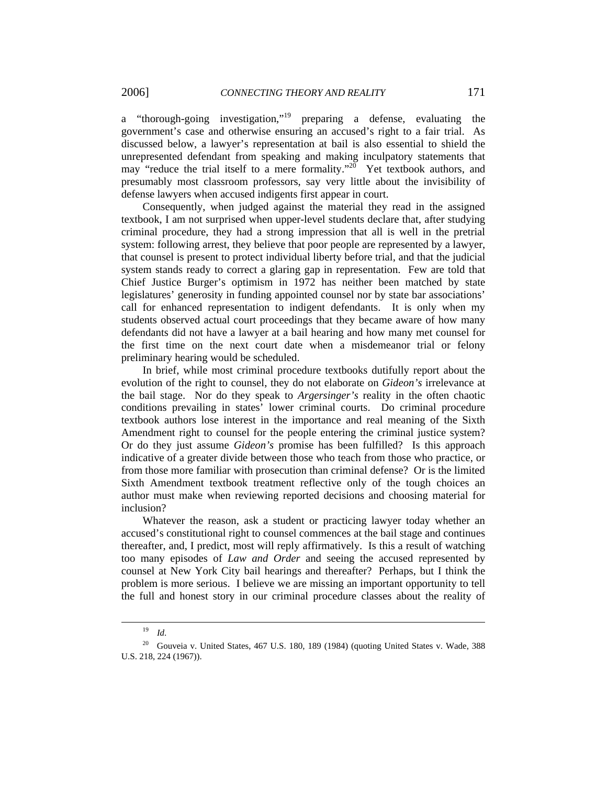a "thorough-going investigation,"19 preparing a defense, evaluating the government's case and otherwise ensuring an accused's right to a fair trial. As discussed below, a lawyer's representation at bail is also essential to shield the unrepresented defendant from speaking and making inculpatory statements that may "reduce the trial itself to a mere formality."<sup>20</sup> Yet textbook authors, and presumably most classroom professors, say very little about the invisibility of defense lawyers when accused indigents first appear in court.

Consequently, when judged against the material they read in the assigned textbook, I am not surprised when upper-level students declare that, after studying criminal procedure, they had a strong impression that all is well in the pretrial system: following arrest, they believe that poor people are represented by a lawyer, that counsel is present to protect individual liberty before trial, and that the judicial system stands ready to correct a glaring gap in representation. Few are told that Chief Justice Burger's optimism in 1972 has neither been matched by state legislatures' generosity in funding appointed counsel nor by state bar associations' call for enhanced representation to indigent defendants. It is only when my students observed actual court proceedings that they became aware of how many defendants did not have a lawyer at a bail hearing and how many met counsel for the first time on the next court date when a misdemeanor trial or felony preliminary hearing would be scheduled.

In brief, while most criminal procedure textbooks dutifully report about the evolution of the right to counsel, they do not elaborate on *Gideon's* irrelevance at the bail stage. Nor do they speak to *Argersinger's* reality in the often chaotic conditions prevailing in states' lower criminal courts. Do criminal procedure textbook authors lose interest in the importance and real meaning of the Sixth Amendment right to counsel for the people entering the criminal justice system? Or do they just assume *Gideon's* promise has been fulfilled? Is this approach indicative of a greater divide between those who teach from those who practice, or from those more familiar with prosecution than criminal defense? Or is the limited Sixth Amendment textbook treatment reflective only of the tough choices an author must make when reviewing reported decisions and choosing material for inclusion?

Whatever the reason, ask a student or practicing lawyer today whether an accused's constitutional right to counsel commences at the bail stage and continues thereafter, and, I predict, most will reply affirmatively. Is this a result of watching too many episodes of *Law and Order* and seeing the accused represented by counsel at New York City bail hearings and thereafter? Perhaps, but I think the problem is more serious. I believe we are missing an important opportunity to tell the full and honest story in our criminal procedure classes about the reality of

 <sup>19</sup> *Id*.

<sup>&</sup>lt;sup>20</sup> Gouveia v. United States, 467 U.S. 180, 189 (1984) (quoting United States v. Wade, 388 U.S. 218, 224 (1967)).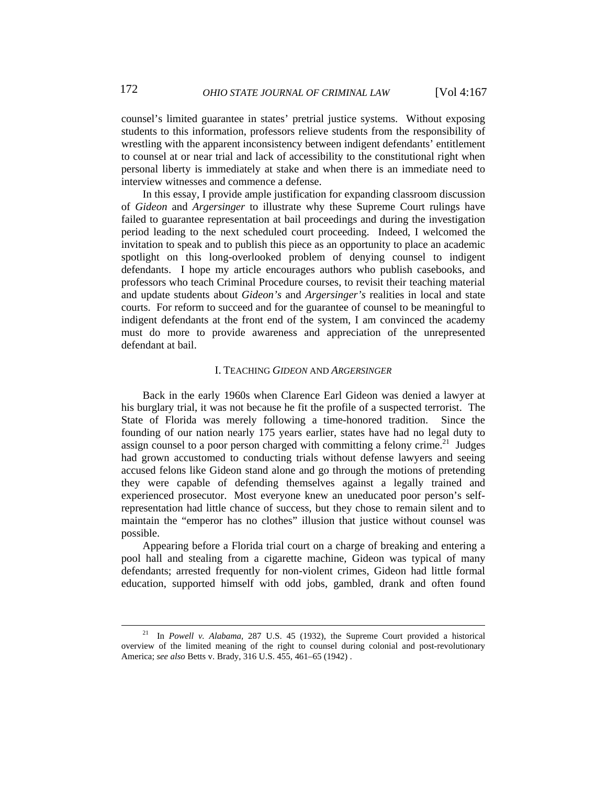counsel's limited guarantee in states' pretrial justice systems. Without exposing students to this information, professors relieve students from the responsibility of wrestling with the apparent inconsistency between indigent defendants' entitlement to counsel at or near trial and lack of accessibility to the constitutional right when personal liberty is immediately at stake and when there is an immediate need to interview witnesses and commence a defense.

In this essay, I provide ample justification for expanding classroom discussion of *Gideon* and *Argersinger* to illustrate why these Supreme Court rulings have failed to guarantee representation at bail proceedings and during the investigation period leading to the next scheduled court proceeding. Indeed, I welcomed the invitation to speak and to publish this piece as an opportunity to place an academic spotlight on this long-overlooked problem of denying counsel to indigent defendants. I hope my article encourages authors who publish casebooks, and professors who teach Criminal Procedure courses, to revisit their teaching material and update students about *Gideon's* and *Argersinger's* realities in local and state courts. For reform to succeed and for the guarantee of counsel to be meaningful to indigent defendants at the front end of the system, I am convinced the academy must do more to provide awareness and appreciation of the unrepresented defendant at bail.

#### I. TEACHING *GIDEON* AND *ARGERSINGER*

Back in the early 1960s when Clarence Earl Gideon was denied a lawyer at his burglary trial, it was not because he fit the profile of a suspected terrorist. The State of Florida was merely following a time-honored tradition. Since the founding of our nation nearly 175 years earlier, states have had no legal duty to assign counsel to a poor person charged with committing a felony crime.<sup>21</sup> Judges had grown accustomed to conducting trials without defense lawyers and seeing accused felons like Gideon stand alone and go through the motions of pretending they were capable of defending themselves against a legally trained and experienced prosecutor. Most everyone knew an uneducated poor person's selfrepresentation had little chance of success, but they chose to remain silent and to maintain the "emperor has no clothes" illusion that justice without counsel was possible.

Appearing before a Florida trial court on a charge of breaking and entering a pool hall and stealing from a cigarette machine, Gideon was typical of many defendants; arrested frequently for non-violent crimes, Gideon had little formal education, supported himself with odd jobs, gambled, drank and often found

 <sup>21</sup> In *Powell v. Alabama*, 287 U.S. 45 (1932), the Supreme Court provided a historical overview of the limited meaning of the right to counsel during colonial and post-revolutionary America; *see also* Betts v. Brady, 316 U.S. 455, 461–65 (1942) .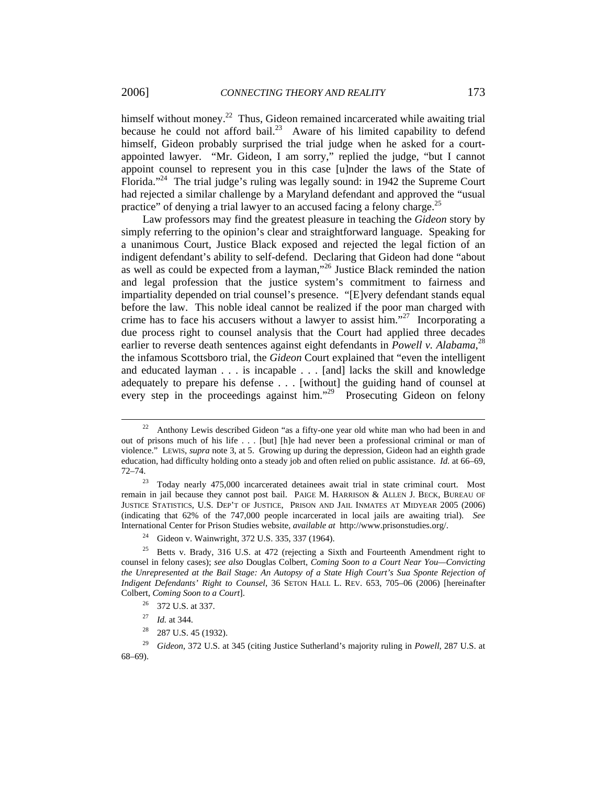himself without money.<sup>22</sup> Thus, Gideon remained incarcerated while awaiting trial because he could not afford bail.<sup>23</sup> Aware of his limited capability to defend himself, Gideon probably surprised the trial judge when he asked for a courtappointed lawyer. "Mr. Gideon, I am sorry," replied the judge, "but I cannot appoint counsel to represent you in this case [u]nder the laws of the State of Florida."<sup>24</sup> The trial judge's ruling was legally sound: in 1942 the Supreme Court had rejected a similar challenge by a Maryland defendant and approved the "usual practice" of denying a trial lawyer to an accused facing a felony charge.<sup>25</sup>

Law professors may find the greatest pleasure in teaching the *Gideon* story by simply referring to the opinion's clear and straightforward language. Speaking for a unanimous Court, Justice Black exposed and rejected the legal fiction of an indigent defendant's ability to self-defend. Declaring that Gideon had done "about as well as could be expected from a layman,"26 Justice Black reminded the nation and legal profession that the justice system's commitment to fairness and impartiality depended on trial counsel's presence. "[E]very defendant stands equal before the law. This noble ideal cannot be realized if the poor man charged with crime has to face his accusers without a lawyer to assist  $\lim_{n \to \infty}$  Incorporating a due process right to counsel analysis that the Court had applied three decades earlier to reverse death sentences against eight defendants in *Powell v. Alabama*,<sup>28</sup> the infamous Scottsboro trial, the *Gideon* Court explained that "even the intelligent and educated layman . . . is incapable . . . [and] lacks the skill and knowledge adequately to prepare his defense . . . [without] the guiding hand of counsel at every step in the proceedings against him."<sup>29</sup> Prosecuting Gideon on felony

 $22$  Anthony Lewis described Gideon "as a fifty-one year old white man who had been in and out of prisons much of his life . . . [but] [h]e had never been a professional criminal or man of violence." LEWIS, *supra* note 3, at 5. Growing up during the depression, Gideon had an eighth grade education, had difficulty holding onto a steady job and often relied on public assistance. *Id*. at 66–69, 72–74.

<sup>&</sup>lt;sup>23</sup> Today nearly 475,000 incarcerated detainees await trial in state criminal court. Most remain in jail because they cannot post bail. PAIGE M. HARRISON & ALLEN J. BECK, BUREAU OF JUSTICE STATISTICS, U.S. DEP'T OF JUSTICE, PRISON AND JAIL INMATES AT MIDYEAR 2005 (2006) (indicating that 62% of the 747,000 people incarcerated in local jails are awaiting trial). *See* International Center for Prison Studies website, *available at* http://www.prisonstudies.org/.

<sup>24</sup> Gideon v. Wainwright, 372 U.S. 335, 337 (1964).

<sup>&</sup>lt;sup>25</sup> Betts v. Brady, 316 U.S. at 472 (rejecting a Sixth and Fourteenth Amendment right to counsel in felony cases); *see also* Douglas Colbert, *Coming Soon to a Court Near You—Convicting the Unrepresented at the Bail Stage: An Autopsy of a State High Court's Sua Sponte Rejection of Indigent Defendants' Right to Counsel*, 36 SETON HALL L. REV. 653, 705–06 (2006) [hereinafter Colbert, *Coming Soon to a Court*].

<sup>&</sup>lt;sup>26</sup> 372 U.S. at 337.

<sup>27</sup> *Id.* at 344.

 $28$  287 U.S. 45 (1932).

<sup>29</sup> *Gideon*, 372 U.S. at 345 (citing Justice Sutherland's majority ruling in *Powell*, 287 U.S. at 68–69).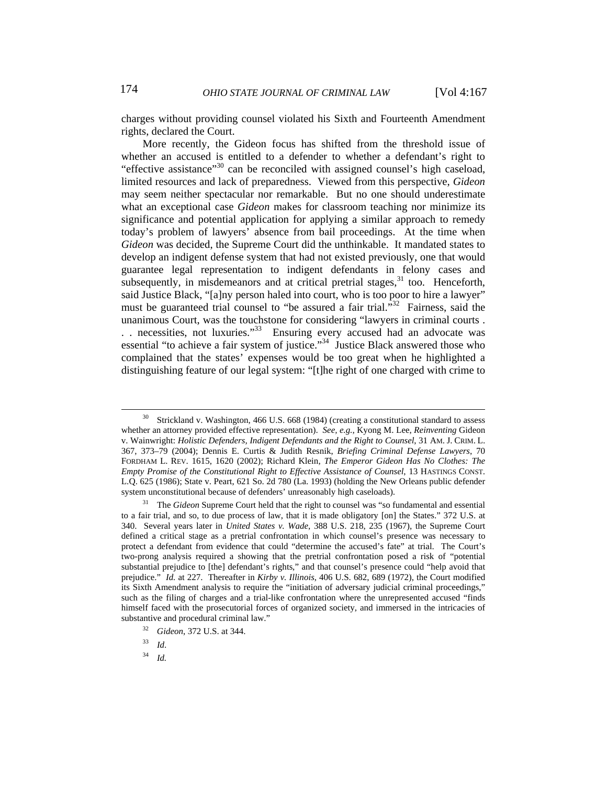charges without providing counsel violated his Sixth and Fourteenth Amendment rights, declared the Court.

More recently, the Gideon focus has shifted from the threshold issue of whether an accused is entitled to a defender to whether a defendant's right to "effective assistance"<sup>30</sup> can be reconciled with assigned counsel's high caseload, limited resources and lack of preparedness. Viewed from this perspective, *Gideon* may seem neither spectacular nor remarkable. But no one should underestimate what an exceptional case *Gideon* makes for classroom teaching nor minimize its significance and potential application for applying a similar approach to remedy today's problem of lawyers' absence from bail proceedings. At the time when *Gideon* was decided, the Supreme Court did the unthinkable. It mandated states to develop an indigent defense system that had not existed previously, one that would guarantee legal representation to indigent defendants in felony cases and subsequently, in misdemeanors and at critical pretrial stages, $31$  too. Henceforth, said Justice Black, "[a]ny person haled into court, who is too poor to hire a lawyer" must be guaranteed trial counsel to "be assured a fair trial."<sup>32</sup> Fairness, said the unanimous Court, was the touchstone for considering "lawyers in criminal courts . .. necessities, not luxuries."<sup>33</sup> Ensuring every accused had an advocate was essential "to achieve a fair system of justice."<sup>34</sup> Justice Black answered those who complained that the states' expenses would be too great when he highlighted a distinguishing feature of our legal system: "[t]he right of one charged with crime to

<sup>34</sup> *Id.*

<sup>&</sup>lt;sup>30</sup> Strickland v. Washington, 466 U.S. 668 (1984) (creating a constitutional standard to assess whether an attorney provided effective representation). *See, e.g.*, Kyong M. Lee, *Reinventing* Gideon v. Wainwright: *Holistic Defenders, Indigent Defendants and the Right to Counsel*, 31 AM. J. CRIM. L. 367, 373–79 (2004); Dennis E. Curtis & Judith Resnik, *Briefing Criminal Defense Lawyers*, 70 FORDHAM L. REV. 1615, 1620 (2002); Richard Klein, *The Emperor Gideon Has No Clothes: The Empty Promise of the Constitutional Right to Effective Assistance of Counsel*, 13 HASTINGS CONST. L.Q. 625 (1986); State v. Peart, 621 So. 2d 780 (La. 1993) (holding the New Orleans public defender system unconstitutional because of defenders' unreasonably high caseloads).

<sup>31</sup> The *Gideon* Supreme Court held that the right to counsel was "so fundamental and essential to a fair trial, and so, to due process of law, that it is made obligatory [on] the States." 372 U.S. at 340. Several years later in *United States v. Wade*, 388 U.S. 218, 235 (1967), the Supreme Court defined a critical stage as a pretrial confrontation in which counsel's presence was necessary to protect a defendant from evidence that could "determine the accused's fate" at trial. The Court's two-prong analysis required a showing that the pretrial confrontation posed a risk of "potential substantial prejudice to [the] defendant's rights," and that counsel's presence could "help avoid that prejudice." *Id.* at 227. Thereafter in *Kirby v. Illinois*, 406 U.S. 682, 689 (1972), the Court modified its Sixth Amendment analysis to require the "initiation of adversary judicial criminal proceedings," such as the filing of charges and a trial-like confrontation where the unrepresented accused "finds himself faced with the prosecutorial forces of organized society, and immersed in the intricacies of substantive and procedural criminal law."

<sup>32</sup> *Gideon*, 372 U.S. at 344.

<sup>33</sup> *Id*.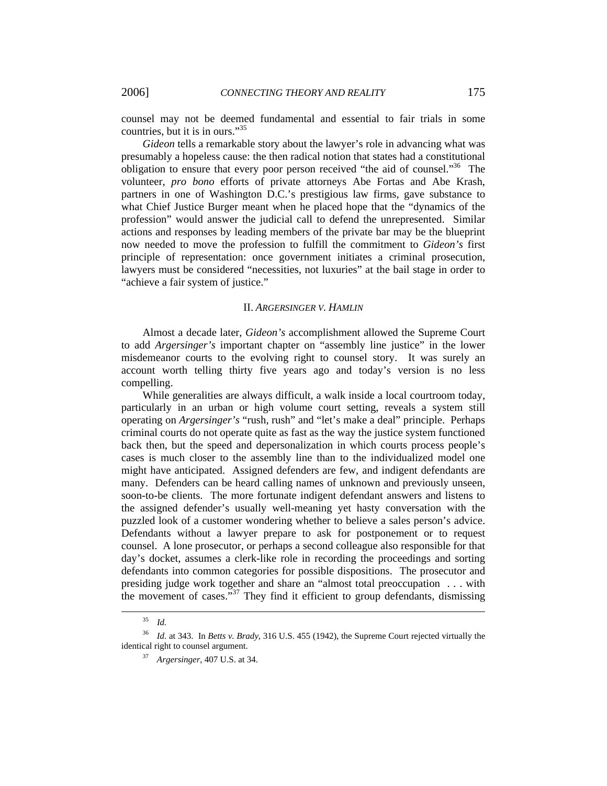counsel may not be deemed fundamental and essential to fair trials in some countries, but it is in ours."35

*Gideon* tells a remarkable story about the lawyer's role in advancing what was presumably a hopeless cause: the then radical notion that states had a constitutional obligation to ensure that every poor person received "the aid of counsel."<sup>36</sup> The volunteer, *pro bono* efforts of private attorneys Abe Fortas and Abe Krash, partners in one of Washington D.C.'s prestigious law firms, gave substance to what Chief Justice Burger meant when he placed hope that the "dynamics of the profession" would answer the judicial call to defend the unrepresented. Similar actions and responses by leading members of the private bar may be the blueprint now needed to move the profession to fulfill the commitment to *Gideon's* first principle of representation: once government initiates a criminal prosecution, lawyers must be considered "necessities, not luxuries" at the bail stage in order to "achieve a fair system of justice."

#### II. *ARGERSINGER V. HAMLIN*

Almost a decade later, *Gideon's* accomplishment allowed the Supreme Court to add *Argersinger's* important chapter on "assembly line justice" in the lower misdemeanor courts to the evolving right to counsel story. It was surely an account worth telling thirty five years ago and today's version is no less compelling.

While generalities are always difficult, a walk inside a local courtroom today, particularly in an urban or high volume court setting, reveals a system still operating on *Argersinger's* "rush, rush" and "let's make a deal" principle. Perhaps criminal courts do not operate quite as fast as the way the justice system functioned back then, but the speed and depersonalization in which courts process people's cases is much closer to the assembly line than to the individualized model one might have anticipated. Assigned defenders are few, and indigent defendants are many. Defenders can be heard calling names of unknown and previously unseen, soon-to-be clients. The more fortunate indigent defendant answers and listens to the assigned defender's usually well-meaning yet hasty conversation with the puzzled look of a customer wondering whether to believe a sales person's advice. Defendants without a lawyer prepare to ask for postponement or to request counsel. A lone prosecutor, or perhaps a second colleague also responsible for that day's docket, assumes a clerk-like role in recording the proceedings and sorting defendants into common categories for possible dispositions. The prosecutor and presiding judge work together and share an "almost total preoccupation . . . with the movement of cases."<sup>37</sup> They find it efficient to group defendants, dismissing

 <sup>35</sup> *Id.*

<sup>36</sup> *Id.* at 343. In *Betts v. Brady*, 316 U.S. 455 (1942), the Supreme Court rejected virtually the identical right to counsel argument.

<sup>37</sup> *Argersinger*, 407 U.S. at 34.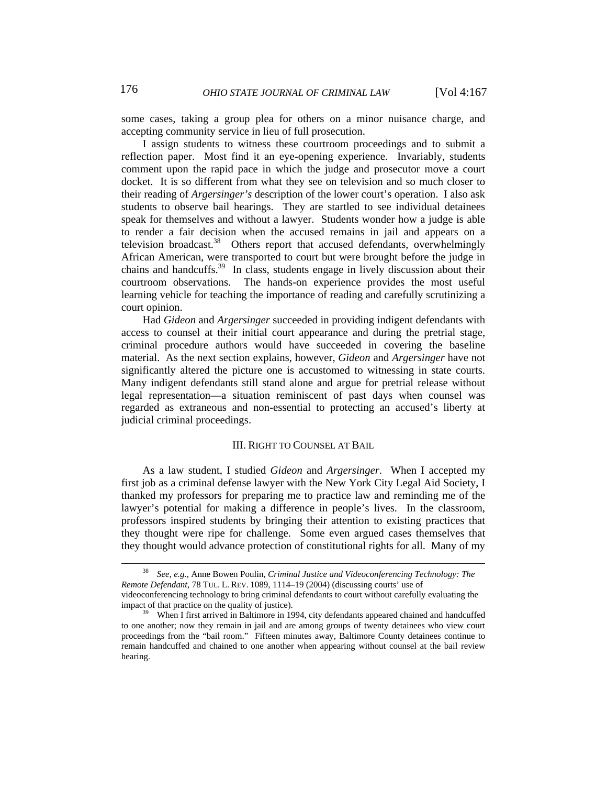some cases, taking a group plea for others on a minor nuisance charge, and accepting community service in lieu of full prosecution.

I assign students to witness these courtroom proceedings and to submit a reflection paper. Most find it an eye-opening experience. Invariably, students comment upon the rapid pace in which the judge and prosecutor move a court docket. It is so different from what they see on television and so much closer to their reading of *Argersinger's* description of the lower court's operation. I also ask students to observe bail hearings. They are startled to see individual detainees speak for themselves and without a lawyer. Students wonder how a judge is able to render a fair decision when the accused remains in jail and appears on a television broadcast.<sup>38</sup> Others report that accused defendants, overwhelmingly African American, were transported to court but were brought before the judge in chains and handcuffs.<sup>39</sup> In class, students engage in lively discussion about their courtroom observations. The hands-on experience provides the most useful learning vehicle for teaching the importance of reading and carefully scrutinizing a court opinion.

Had *Gideon* and *Argersinger* succeeded in providing indigent defendants with access to counsel at their initial court appearance and during the pretrial stage, criminal procedure authors would have succeeded in covering the baseline material. As the next section explains, however, *Gideon* and *Argersinger* have not significantly altered the picture one is accustomed to witnessing in state courts. Many indigent defendants still stand alone and argue for pretrial release without legal representation—a situation reminiscent of past days when counsel was regarded as extraneous and non-essential to protecting an accused's liberty at judicial criminal proceedings.

#### III. RIGHT TO COUNSEL AT BAIL

As a law student, I studied *Gideon* and *Argersinger*. When I accepted my first job as a criminal defense lawyer with the New York City Legal Aid Society, I thanked my professors for preparing me to practice law and reminding me of the lawyer's potential for making a difference in people's lives. In the classroom, professors inspired students by bringing their attention to existing practices that they thought were ripe for challenge. Some even argued cases themselves that they thought would advance protection of constitutional rights for all. Many of my

 <sup>38</sup> *See, e.g.*, Anne Bowen Poulin, *Criminal Justice and Videoconferencing Technology: The Remote Defendant*, 78 TUL. L. REV. 1089, 1114–19 (2004) (discussing courts' use of videoconferencing technology to bring criminal defendants to court without carefully evaluating the

impact of that practice on the quality of justice). 39 When I first arrived in Baltimore in 1994, city defendants appeared chained and handcuffed to one another; now they remain in jail and are among groups of twenty detainees who view court proceedings from the "bail room." Fifteen minutes away, Baltimore County detainees continue to remain handcuffed and chained to one another when appearing without counsel at the bail review hearing.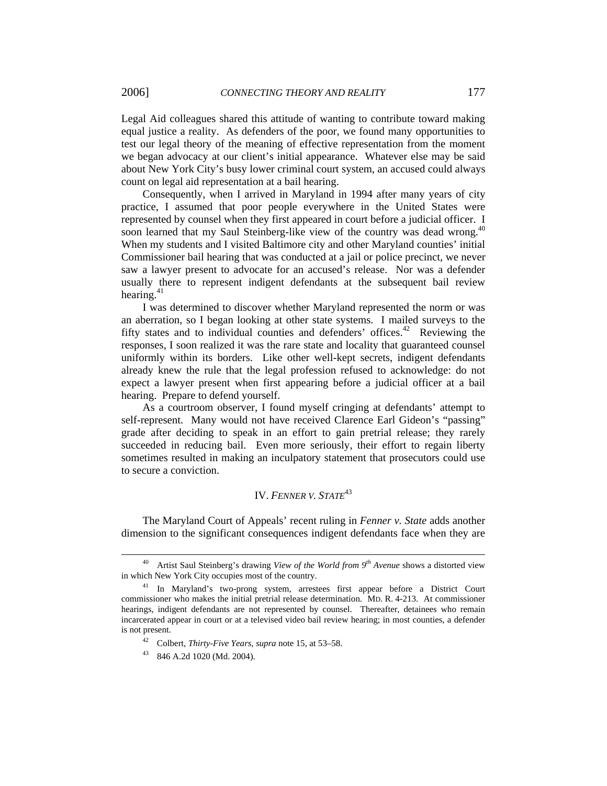Legal Aid colleagues shared this attitude of wanting to contribute toward making equal justice a reality. As defenders of the poor, we found many opportunities to test our legal theory of the meaning of effective representation from the moment we began advocacy at our client's initial appearance. Whatever else may be said about New York City's busy lower criminal court system, an accused could always count on legal aid representation at a bail hearing.

Consequently, when I arrived in Maryland in 1994 after many years of city practice, I assumed that poor people everywhere in the United States were represented by counsel when they first appeared in court before a judicial officer. I soon learned that my Saul Steinberg-like view of the country was dead wrong.<sup>40</sup> When my students and I visited Baltimore city and other Maryland counties' initial Commissioner bail hearing that was conducted at a jail or police precinct, we never saw a lawyer present to advocate for an accused's release. Nor was a defender usually there to represent indigent defendants at the subsequent bail review hearing. $41$ 

I was determined to discover whether Maryland represented the norm or was an aberration, so I began looking at other state systems. I mailed surveys to the fifty states and to individual counties and defenders' offices.<sup>42</sup> Reviewing the responses, I soon realized it was the rare state and locality that guaranteed counsel uniformly within its borders. Like other well-kept secrets, indigent defendants already knew the rule that the legal profession refused to acknowledge: do not expect a lawyer present when first appearing before a judicial officer at a bail hearing. Prepare to defend yourself.

As a courtroom observer, I found myself cringing at defendants' attempt to self-represent. Many would not have received Clarence Earl Gideon's "passing" grade after deciding to speak in an effort to gain pretrial release; they rarely succeeded in reducing bail. Even more seriously, their effort to regain liberty sometimes resulted in making an inculpatory statement that prosecutors could use to secure a conviction.

### IV. *FENNER V. STATE*<sup>43</sup>

The Maryland Court of Appeals' recent ruling in *Fenner v. State* adds another dimension to the significant consequences indigent defendants face when they are

Artist Saul Steinberg's drawing *View of the World from 9<sup>th</sup> Avenue* shows a distorted view in which New York City occupies most of the country.

<sup>&</sup>lt;sup>41</sup> In Maryland's two-prong system, arrestees first appear before a District Court commissioner who makes the initial pretrial release determination. MD. R. 4-213. At commissioner hearings, indigent defendants are not represented by counsel. Thereafter, detainees who remain incarcerated appear in court or at a televised video bail review hearing; in most counties, a defender is not present.

<sup>42</sup>Colbert, *Thirty-Five Years*, *supra* note 15, at 53–58.

<sup>43 846</sup> A.2d 1020 (Md. 2004).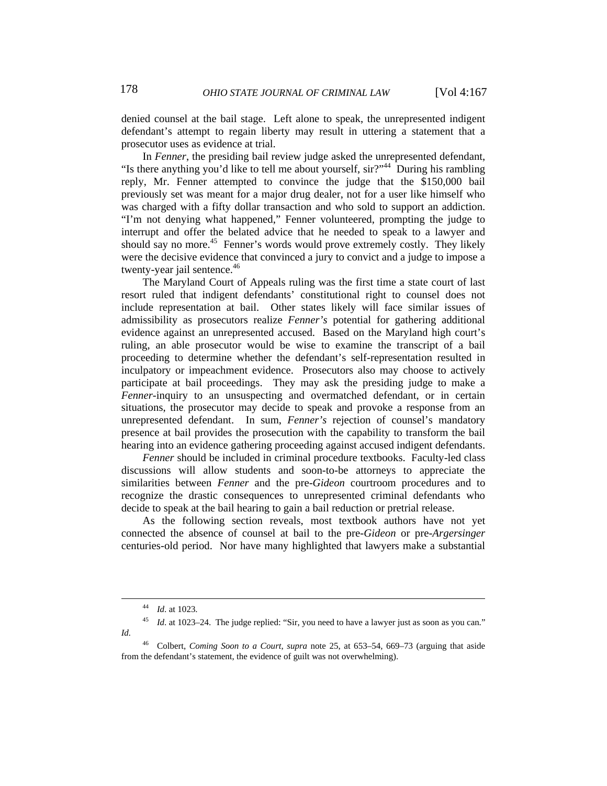denied counsel at the bail stage. Left alone to speak, the unrepresented indigent defendant's attempt to regain liberty may result in uttering a statement that a prosecutor uses as evidence at trial.

In *Fenner*, the presiding bail review judge asked the unrepresented defendant, "Is there anything you'd like to tell me about yourself, sir?"<sup>44</sup> During his rambling reply, Mr. Fenner attempted to convince the judge that the \$150,000 bail previously set was meant for a major drug dealer, not for a user like himself who was charged with a fifty dollar transaction and who sold to support an addiction. "I'm not denying what happened," Fenner volunteered, prompting the judge to interrupt and offer the belated advice that he needed to speak to a lawyer and should say no more.<sup>45</sup> Fenner's words would prove extremely costly. They likely were the decisive evidence that convinced a jury to convict and a judge to impose a twenty-year jail sentence.<sup>46</sup>

The Maryland Court of Appeals ruling was the first time a state court of last resort ruled that indigent defendants' constitutional right to counsel does not include representation at bail. Other states likely will face similar issues of admissibility as prosecutors realize *Fenner's* potential for gathering additional evidence against an unrepresented accused. Based on the Maryland high court's ruling, an able prosecutor would be wise to examine the transcript of a bail proceeding to determine whether the defendant's self-representation resulted in inculpatory or impeachment evidence. Prosecutors also may choose to actively participate at bail proceedings. They may ask the presiding judge to make a *Fenner*-inquiry to an unsuspecting and overmatched defendant, or in certain situations, the prosecutor may decide to speak and provoke a response from an unrepresented defendant. In sum, *Fenner's* rejection of counsel's mandatory presence at bail provides the prosecution with the capability to transform the bail hearing into an evidence gathering proceeding against accused indigent defendants.

*Fenner* should be included in criminal procedure textbooks. Faculty-led class discussions will allow students and soon-to-be attorneys to appreciate the similarities between *Fenner* and the pre-*Gideon* courtroom procedures and to recognize the drastic consequences to unrepresented criminal defendants who decide to speak at the bail hearing to gain a bail reduction or pretrial release.

As the following section reveals, most textbook authors have not yet connected the absence of counsel at bail to the pre-*Gideon* or pre-*Argersinger*  centuries-old period. Nor have many highlighted that lawyers make a substantial

 <sup>44</sup> *Id*. at 1023.

<sup>45</sup> *Id*. at 1023–24. The judge replied: "Sir, you need to have a lawyer just as soon as you can." *Id.*

<sup>46</sup> Colbert, *Coming Soon to a Court*, *supra* note 25, at 653–54, 669–73 (arguing that aside from the defendant's statement, the evidence of guilt was not overwhelming).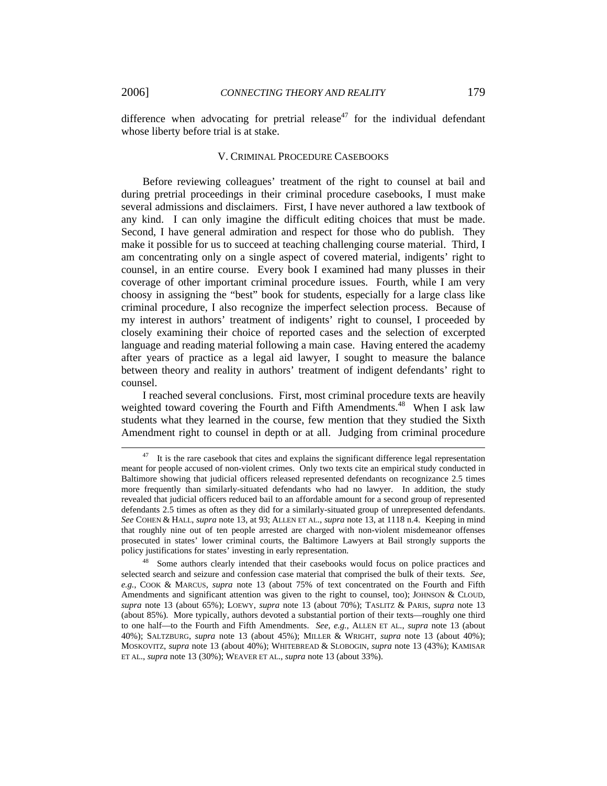difference when advocating for pretrial release<sup>47</sup> for the individual defendant whose liberty before trial is at stake.

#### V. CRIMINAL PROCEDURE CASEBOOKS

Before reviewing colleagues' treatment of the right to counsel at bail and during pretrial proceedings in their criminal procedure casebooks, I must make several admissions and disclaimers. First, I have never authored a law textbook of any kind. I can only imagine the difficult editing choices that must be made. Second, I have general admiration and respect for those who do publish. They make it possible for us to succeed at teaching challenging course material. Third, I am concentrating only on a single aspect of covered material, indigents' right to counsel, in an entire course. Every book I examined had many plusses in their coverage of other important criminal procedure issues. Fourth, while I am very choosy in assigning the "best" book for students, especially for a large class like criminal procedure, I also recognize the imperfect selection process. Because of my interest in authors' treatment of indigents' right to counsel, I proceeded by closely examining their choice of reported cases and the selection of excerpted language and reading material following a main case. Having entered the academy after years of practice as a legal aid lawyer, I sought to measure the balance between theory and reality in authors' treatment of indigent defendants' right to counsel.

I reached several conclusions. First, most criminal procedure texts are heavily weighted toward covering the Fourth and Fifth Amendments.<sup>48</sup> When I ask law students what they learned in the course, few mention that they studied the Sixth Amendment right to counsel in depth or at all. Judging from criminal procedure

It is the rare casebook that cites and explains the significant difference legal representation meant for people accused of non-violent crimes. Only two texts cite an empirical study conducted in Baltimore showing that judicial officers released represented defendants on recognizance 2.5 times more frequently than similarly-situated defendants who had no lawyer. In addition, the study revealed that judicial officers reduced bail to an affordable amount for a second group of represented defendants 2.5 times as often as they did for a similarly-situated group of unrepresented defendants. *See* COHEN & HALL, *supra* note 13, at 93; ALLEN ET AL., *supra* note 13, at 1118 n.4. Keeping in mind that roughly nine out of ten people arrested are charged with non-violent misdemeanor offenses prosecuted in states' lower criminal courts, the Baltimore Lawyers at Bail strongly supports the policy justifications for states' investing in early representation.

Some authors clearly intended that their casebooks would focus on police practices and selected search and seizure and confession case material that comprised the bulk of their texts. *See*, *e.g.*, COOK & MARCUS, *supra* note 13 (about 75% of text concentrated on the Fourth and Fifth Amendments and significant attention was given to the right to counsel, too); JOHNSON & CLOUD, *supra* note 13 (about 65%); LOEWY, *supra* note 13 (about 70%); TASLITZ & PARIS, *supra* note 13 (about 85%). More typically, authors devoted a substantial portion of their texts—roughly one third to one half—to the Fourth and Fifth Amendments. *See*, *e.g.*, ALLEN ET AL., *supra* note 13 (about 40%); SALTZBURG, *supra* note 13 (about 45%); MILLER & WRIGHT, *supra* note 13 (about 40%); MOSKOVITZ, *supra* note 13 (about 40%); WHITEBREAD & SLOBOGIN, *supra* note 13 (43%); KAMISAR ET AL., *supra* note 13 (30%); WEAVER ET AL., *supra* note 13 (about 33%).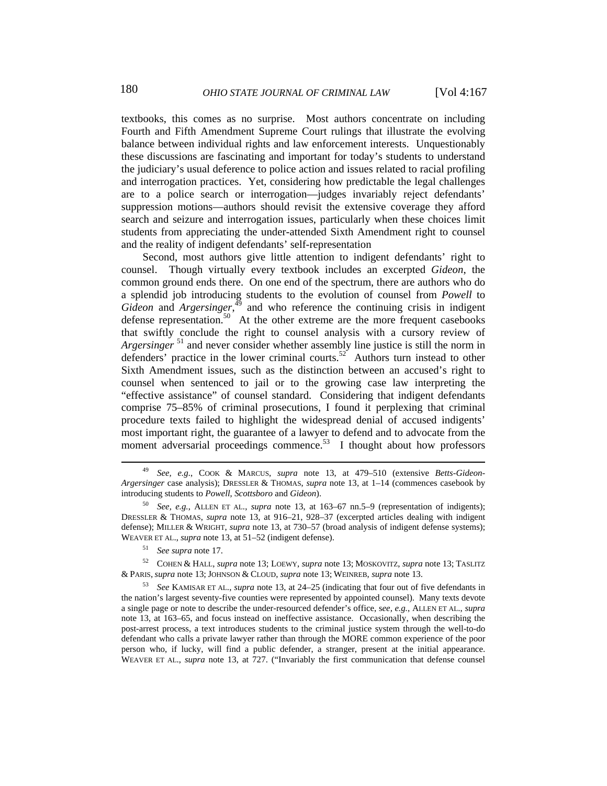textbooks, this comes as no surprise. Most authors concentrate on including Fourth and Fifth Amendment Supreme Court rulings that illustrate the evolving balance between individual rights and law enforcement interests. Unquestionably these discussions are fascinating and important for today's students to understand the judiciary's usual deference to police action and issues related to racial profiling and interrogation practices. Yet, considering how predictable the legal challenges are to a police search or interrogation—judges invariably reject defendants' suppression motions—authors should revisit the extensive coverage they afford search and seizure and interrogation issues, particularly when these choices limit students from appreciating the under-attended Sixth Amendment right to counsel and the reality of indigent defendants' self-representation

Second, most authors give little attention to indigent defendants' right to counsel. Though virtually every textbook includes an excerpted *Gideon*, the common ground ends there. On one end of the spectrum, there are authors who do a splendid job introducing students to the evolution of counsel from *Powell* to  $Gideon$  and  $Argersinger$ ,<sup> $\overline{49}$ </sup> and who reference the continuing crisis in indigent defense representation.<sup>50</sup> At the other extreme are the more frequent casebooks that swiftly conclude the right to counsel analysis with a cursory review of *Argersinger*<sup>51</sup> and never consider whether assembly line justice is still the norm in defenders' practice in the lower criminal courts.<sup>52</sup> Authors turn instead to other Sixth Amendment issues, such as the distinction between an accused's right to counsel when sentenced to jail or to the growing case law interpreting the "effective assistance" of counsel standard. Considering that indigent defendants comprise 75–85% of criminal prosecutions, I found it perplexing that criminal procedure texts failed to highlight the widespread denial of accused indigents' most important right, the guarantee of a lawyer to defend and to advocate from the moment adversarial proceedings commence.<sup>53</sup> I thought about how professors

 <sup>49</sup> *See, e.g.*, COOK & MARCUS, *supra* note 13, at 479–510 (extensive *Betts-Gideon-Argersinger* case analysis); DRESSLER & THOMAS, *supra* note 13, at 1–14 (commences casebook by introducing students to *Powell*, *Scottsboro* and *Gideon*).

<sup>50</sup> *See, e.g.*, ALLEN ET AL., *supra* note 13, at 163–67 nn.5–9 (representation of indigents); DRESSLER & THOMAS, *supra* note 13, at 916–21, 928–37 (excerpted articles dealing with indigent defense); MILLER & WRIGHT, *supra* note 13, at 730–57 (broad analysis of indigent defense systems); WEAVER ET AL., *supra* note 13, at 51–52 (indigent defense).

<sup>51</sup> *See supra* note 17.

<sup>52</sup>COHEN & HALL, *supra* note 13; LOEWY, *supra* note 13; MOSKOVITZ, *supra* note 13; TASLITZ & PARIS, *supra* note 13;JOHNSON & CLOUD, *supra* note 13; WEINREB, *supra* note 13.

<sup>53</sup> *See* KAMISAR ET AL., *supra* note 13, at 24–25 (indicating that four out of five defendants in the nation's largest seventy-five counties were represented by appointed counsel). Many texts devote a single page or note to describe the under-resourced defender's office, s*ee, e.g.*, ALLEN ET AL., *supra* note 13, at 163–65, and focus instead on ineffective assistance. Occasionally, when describing the post-arrest process, a text introduces students to the criminal justice system through the well-to-do defendant who calls a private lawyer rather than through the MORE common experience of the poor person who, if lucky, will find a public defender, a stranger, present at the initial appearance. WEAVER ET AL., *supra* note 13, at 727. ("Invariably the first communication that defense counsel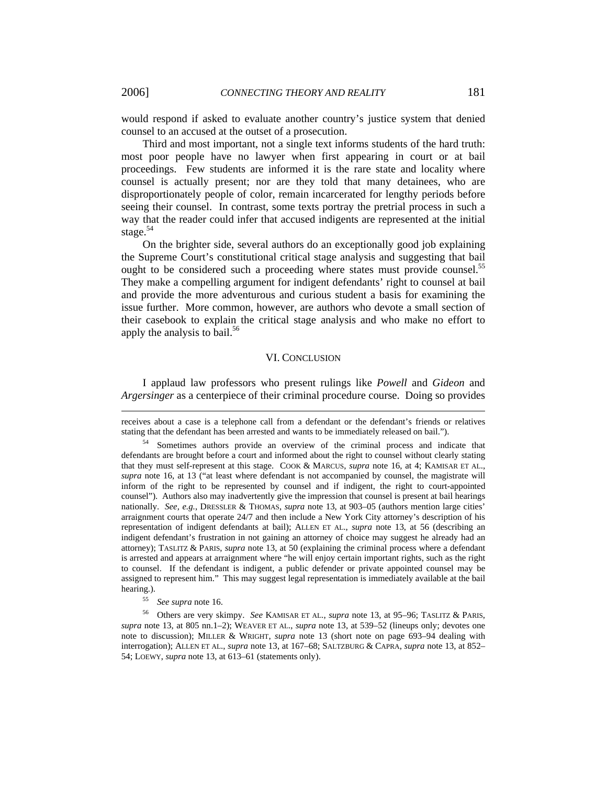would respond if asked to evaluate another country's justice system that denied counsel to an accused at the outset of a prosecution.

Third and most important, not a single text informs students of the hard truth: most poor people have no lawyer when first appearing in court or at bail proceedings. Few students are informed it is the rare state and locality where counsel is actually present; nor are they told that many detainees, who are disproportionately people of color, remain incarcerated for lengthy periods before seeing their counsel. In contrast, some texts portray the pretrial process in such a way that the reader could infer that accused indigents are represented at the initial stage. $54$ 

On the brighter side, several authors do an exceptionally good job explaining the Supreme Court's constitutional critical stage analysis and suggesting that bail ought to be considered such a proceeding where states must provide counsel.<sup>55</sup> They make a compelling argument for indigent defendants' right to counsel at bail and provide the more adventurous and curious student a basis for examining the issue further. More common, however, are authors who devote a small section of their casebook to explain the critical stage analysis and who make no effort to apply the analysis to bail. $56$ 

#### VI. CONCLUSION

I applaud law professors who present rulings like *Powell* and *Gideon* and *Argersinger* as a centerpiece of their criminal procedure course. Doing so provides

 $\overline{a}$ 

receives about a case is a telephone call from a defendant or the defendant's friends or relatives stating that the defendant has been arrested and wants to be immediately released on bail.").

<sup>54</sup> Sometimes authors provide an overview of the criminal process and indicate that defendants are brought before a court and informed about the right to counsel without clearly stating that they must self-represent at this stage. COOK & MARCUS, *supra* note 16, at 4; KAMISAR ET AL., *supra* note 16, at 13 ("at least where defendant is not accompanied by counsel, the magistrate will inform of the right to be represented by counsel and if indigent, the right to court-appointed counsel"). Authors also may inadvertently give the impression that counsel is present at bail hearings nationally. *See, e.g.*, DRESSLER & THOMAS, *supra* note 13, at 903–05 (authors mention large cities' arraignment courts that operate 24/7 and then include a New York City attorney's description of his representation of indigent defendants at bail); ALLEN ET AL., *supra* note 13, at 56 (describing an indigent defendant's frustration in not gaining an attorney of choice may suggest he already had an attorney); TASLITZ & PARIS, *supra* note 13, at 50 (explaining the criminal process where a defendant is arrested and appears at arraignment where "he will enjoy certain important rights, such as the right to counsel. If the defendant is indigent, a public defender or private appointed counsel may be assigned to represent him." This may suggest legal representation is immediately available at the bail hearing.).

<sup>55</sup> *See supra* note 16.

<sup>56</sup> Others are very skimpy. *See* KAMISAR ET AL., *supra* note 13, at 95–96; TASLITZ & PARIS, *supra* note 13, at 805 nn.1–2); WEAVER ET AL., *supra* note 13, at 539–52 (lineups only; devotes one note to discussion); MILLER & WRIGHT, *supra* note 13 (short note on page 693–94 dealing with interrogation); ALLEN ET AL., *supra* note 13, at 167–68; SALTZBURG & CAPRA, *supra* note 13, at 852– 54; LOEWY, *supra* note 13, at 613–61 (statements only).